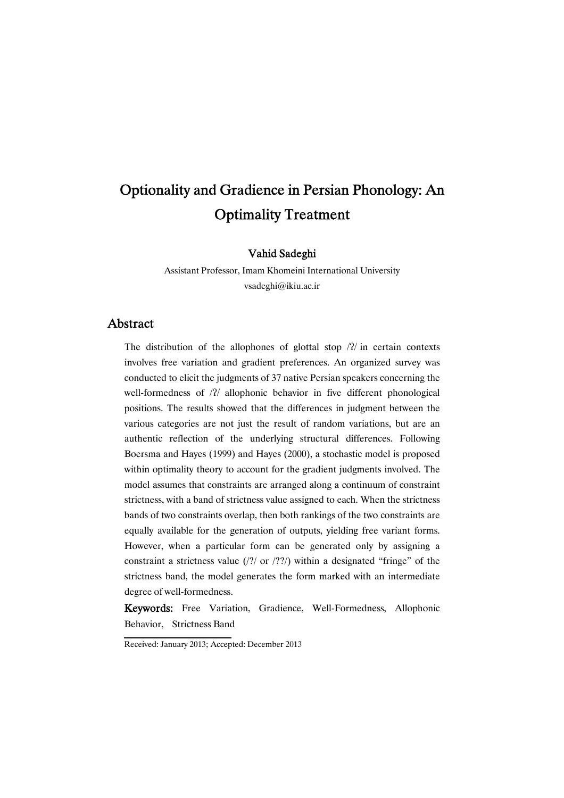# Optionality and Gradience in Persian Phonology: An **Optimality Treatment**

Vahid Sadeghi

Assistant Professor, Imam Khomeini International University vsadeghi@ikiu.ac.ir

## **Abstract**

The distribution of the allophones of glottal stop  $/2/$  in certain contexts involves free variation and gradient preferences. An organized survey was conducted to elicit the judgments of 37 native Persian speakers concerning the well-formedness of /?/ allophonic behavior in five different phonological positions. The results showed that the differences in judgment between the various categories are not just the result of random variations, but are an authentic reflection of the underlying structural differences. Following Boersma and Hayes (1999) and Hayes (2000), a stochastic model is proposed within optimality theory to account for the gradient judgments involved. The model assumes that constraints are arranged along a continuum of constraint strictness, with a band of strictness value assigned to each. When the strictness bands of two constraints overlap, then both rankings of the two constraints are equally available for the generation of outputs, yielding free variant forms. However, when a particular form can be generated only by assigning a constraint a strictness value  $(2)$  or  $(2)$ ?) within a designated "fringe" of the strictness band, the model generates the form marked with an intermediate degree of well-formedness.

Keywords: Free Variation, Gradience, Well-Formedness, Allophonic Behavior, Strictness Band

Received: January 2013; Accepted: December 2013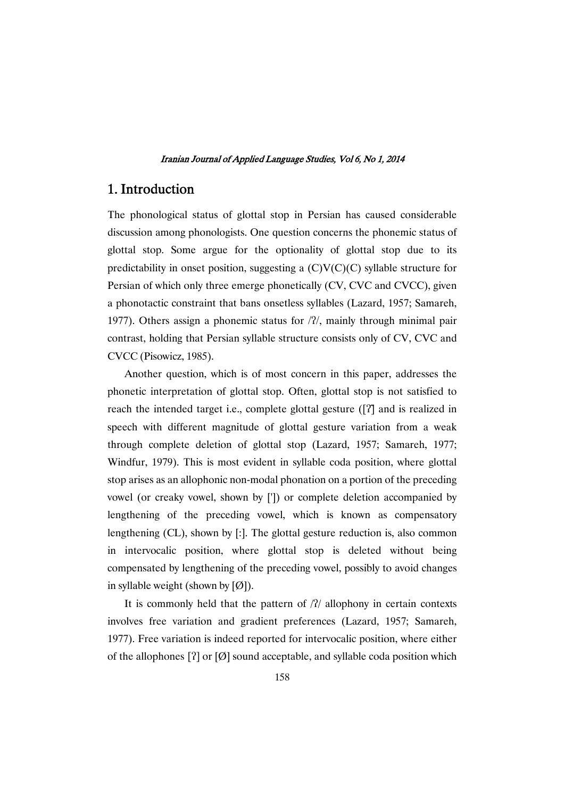# 1. Introduction

The phonological status of glottal stop in Persian has caused considerable discussion among phonologists. One question concerns the phonemic status of glottal stop. Some argue for the optionality of glottal stop due to its predictability in onset position, suggesting a  $(C)V(C)(C)$  syllable structure for Persian of which only three emerge phonetically (CV, CVC and CVCC), given a phonotactic constraint that bans onsetless syllables (Lazard, 1957; Samareh, 1977). Others assign a phonemic status for  $/2/$ , mainly through minimal pair contrast, holding that Persian syllable structure consists only of CV, CVC and CVCC (Pisowicz, 1985).

Another question, which is of most concern in this paper, addresses the phonetic interpretation of glottal stop. Often, glottal stop is not satisfied to reach the intended target i.e., complete glottal gesture  $( [7]$  and is realized in speech with different magnitude of glottal gesture variation from a weak through complete deletion of glottal stop (Lazard, 1957; Samareh, 1977; Windfur, 1979). This is most evident in syllable coda position, where glottal stop arises as an allophonic non-modal phonation on a portion of the preceding vowel (or creaky vowel, shown by [']) or complete deletion accompanied by lengthening of the preceding vowel, which is known as compensatory lengthening (CL), shown by [:]. The glottal gesture reduction is, also common in intervocalic position, where glottal stop is deleted without being compensated by lengthening of the preceding vowel, possibly to avoid changes in syllable weight (shown by  $[Ø]$ ).

It is commonly held that the pattern of  $/2/$  allophony in certain contexts involves free variation and gradient preferences (Lazard, 1957; Samareh, 1977). Free variation is indeed reported for intervocalic position, where either of the allophones  $[?]$  or  $[Ø]$  sound acceptable, and syllable coda position which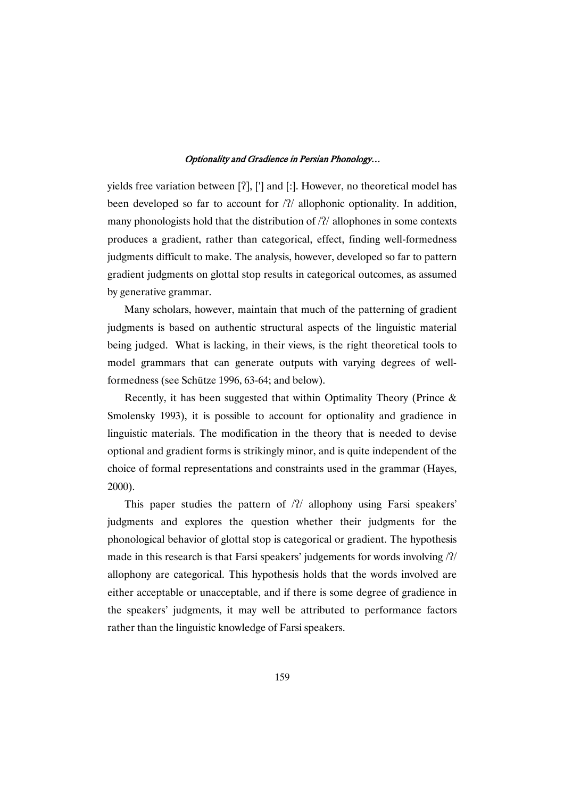yields free variation between [?], ['] and [:]. However, no theoretical model has been developed so far to account for  $/2/$  allophonic optionality. In addition, many phonologists hold that the distribution of  $/2/$  allophones in some contexts produces a gradient, rather than categorical, effect, finding well-formedness judgments difficult to make. The analysis, however, developed so far to pattern gradient judgments on glottal stop results in categorical outcomes, as assumed by generative grammar.

Many scholars, however, maintain that much of the patterning of gradient judgments is based on authentic structural aspects of the linguistic material being judged. What is lacking, in their views, is the right theoretical tools to model grammars that can generate outputs with varying degrees of wellformedness (see Schütze 1996, 63-64; and below).

Recently, it has been suggested that within Optimality Theory (Prince & Smolensky 1993), it is possible to account for optionality and gradience in linguistic materials. The modification in the theory that is needed to devise optional and gradient forms is strikingly minor, and is quite independent of the choice of formal representations and constraints used in the grammar (Hayes, 2000).

This paper studies the pattern of  $/2/$  allophony using Farsi speakers' judgments and explores the question whether their judgments for the phonological behavior of glottal stop is categorical or gradient. The hypothesis made in this research is that Farsi speakers' judgements for words involving  $/2/$ allophony are categorical. This hypothesis holds that the words involved are either acceptable or unacceptable, and if there is some degree of gradience in the speakers' judgments, it may well be attributed to performance factors rather than the linguistic knowledge of Farsi speakers.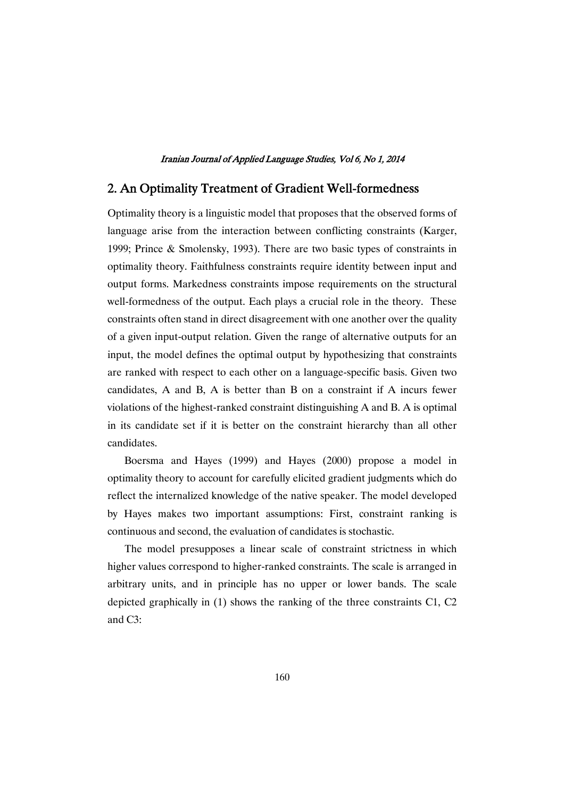# 2. An Optimality Treatment of Gradient Well-formedness

Optimality theory is a linguistic model that proposes that the observed forms of language arise from the interaction between conflicting constraints (Karger, 1999; Prince & Smolensky, 1993). There are two basic types of constraints in optimality theory. Faithfulness constraints require identity between input and output forms. Markedness constraints impose requirements on the structural well-formedness of the output. Each plays a crucial role in the theory. These constraints often stand in direct disagreement with one another over the quality of a given input-output relation. Given the range of alternative outputs for an input, the model defines the optimal output by hypothesizing that constraints are ranked with respect to each other on a language-specific basis. Given two candidates, A and B, A is better than B on a constraint if A incurs fewer violations of the highest-ranked constraint distinguishing A and B. A is optimal in its candidate set if it is better on the constraint hierarchy than all other candidates.�

Boersma and Hayes (1999) and Hayes (2000) propose a model in optimality theory to account for carefully elicited gradient judgments which do reflect the internalized knowledge of the native speaker. The model developed by Hayes makes two important assumptions: First, constraint ranking is continuous and second, the evaluation of candidates is stochastic.

The model presupposes a linear scale of constraint strictness in which higher values correspond to higher-ranked constraints. The scale is arranged in arbitrary units, and in principle has no upper or lower bands. The scale depicted graphically in (1) shows the ranking of the three constraints C1, C2 and C3: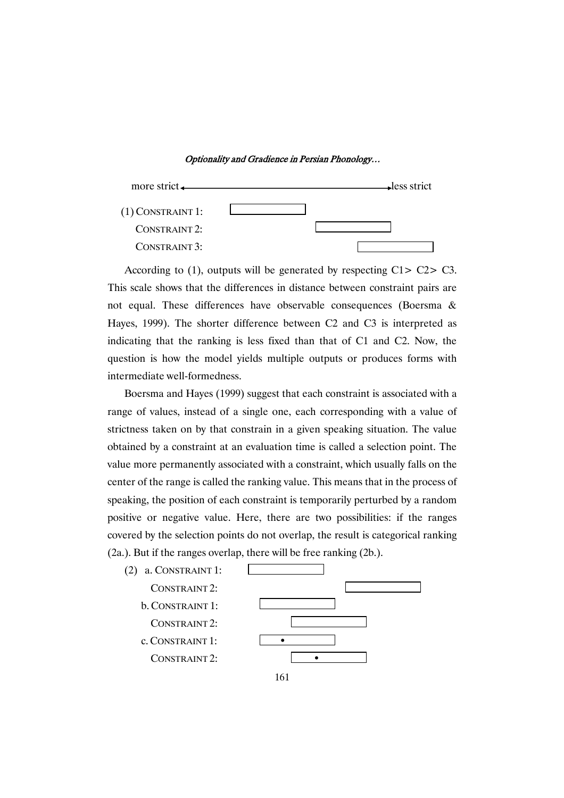

According to (1), outputs will be generated by respecting C1> C2> C3. This scale shows that the differences in distance between constraint pairs are not equal. These differences have observable consequences (Boersma & Hayes, 1999). The shorter difference between C2 and C3 is interpreted as indicating that the ranking is less fixed than that of C1 and C2. Now, the question is how the model yields multiple outputs or produces forms with intermediate well-formedness.

Boersma and Hayes (1999) suggest that each constraint is associated with a range of values, instead of a single one, each corresponding with a value of strictness taken on by that constrain in a given speaking situation. The value obtained by a constraint at an evaluation time is called a selection point. The value more permanently associated with a constraint, which usually falls on the center of the range is called the ranking value. This means that in the process of speaking, the position of each constraint is temporarily perturbed by a random positive or negative value. Here, there are two possibilities: if the ranges covered by the selection points do not overlap, the result is categorical ranking (2a.). But if the ranges overlap, there will be free ranking (2b.).

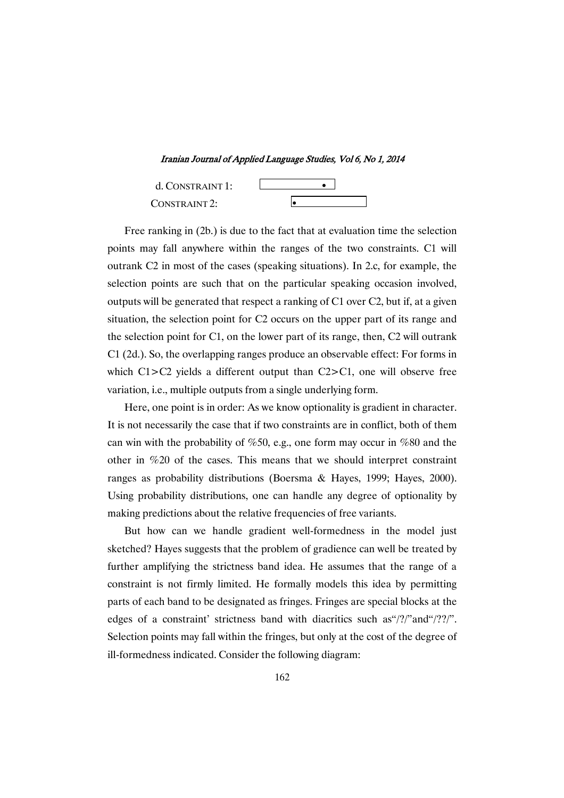Iranian Journal of Applied Language Studies, Vol 6, No 1, 2014



Free ranking in (2b.) is due to the fact that at evaluation time the selection points may fall anywhere within the ranges of the two constraints. C1 will outrank C2 in most of the cases (speaking situations). In 2.c, for example, the selection points are such that on the particular speaking occasion involved, outputs will be generated that respect a ranking of C1 over C2, but if, at a given situation, the selection point for C2 occurs on the upper part of its range and the selection point for C1, on the lower part of its range, then, C2 will outrank C1 (2d.). So, the overlapping ranges produce an observable effect: For forms in which C1>C2 yields a different output than C2>C1, one will observe free variation, i.e., multiple outputs from a single underlying form.

Here, one point is in order: As we know optionality is gradient in character. It is not necessarily the case that if two constraints are in conflict, both of them can win with the probability of %50, e.g., one form may occur in %80 and the other in %20 of the cases. This means that we should interpret constraint ranges as probability distributions (Boersma & Hayes, 1999; Hayes, 2000). Using probability distributions, one can handle any degree of optionality by making predictions about the relative frequencies of free variants.

But how can we handle gradient well-formedness in the model just sketched? Hayes suggests that the problem of gradience can well be treated by further amplifying the strictness band idea. He assumes that the range of a constraint is not firmly limited. He formally models this idea by permitting parts of each band to be designated as fringes. Fringes are special blocks at the edges of a constraint' strictness band with diacritics such as "/?/"and "/??/". Selection points may fall within the fringes, but only at the cost of the degree of ill-formedness indicated. Consider the following diagram: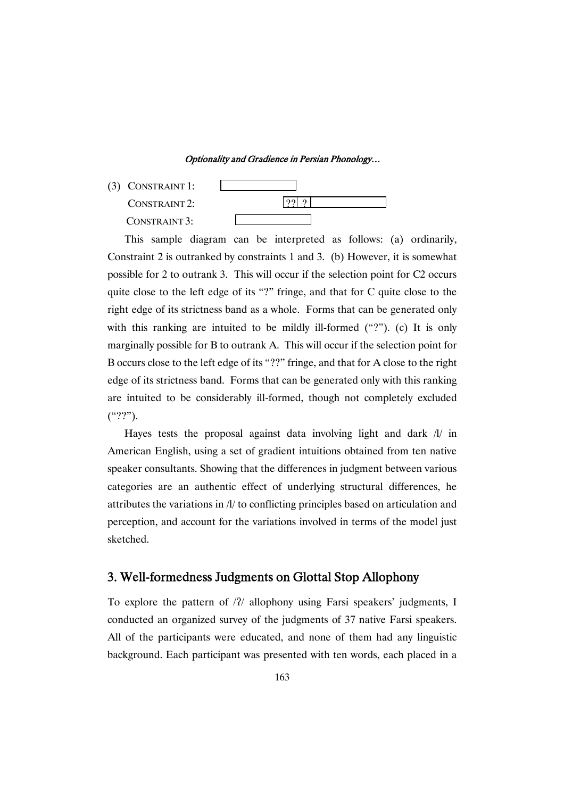(3) CONSTRAINT 1:  $CONFERAINT 2:$  ? CONSTRAINT 3:

This sample diagram can be interpreted as follows: (a) ordinarily, Constraint 2 is outranked by constraints 1 and 3. (b) However, it is somewhat possible for 2 to outrank 3. This will occur if the selection point for C2 occurs quite close to the left edge of its "?" fringe, and that for C quite close to the right edge of its strictness band as a whole. Forms that can be generated only with this ranking are intuited to be mildly ill-formed ("?"). (c) It is only marginally possible for B to outrank A. This will occur if the selection point for B occurs close to the left edge of its "??" fringe, and that for A close to the right edge of its strictness band. Forms that can be generated only with this ranking are intuited to be considerably ill-formed, though not completely excluded ("??").

Hayes tests the proposal against data involving light and dark  $\frac{1}{i}$  in American English, using a set of gradient intuitions obtained from ten native speaker consultants. Showing that the differences in judgment between various categories are an authentic effect of underlying structural differences, he attributes the variations in /l/ to conflicting principles based on articulation and perception, and account for the variations involved in terms of the model just sketched.

# 3. Well-formedness Judgments on Glottal Stop Allophony

To explore the pattern of /?/ allophony using Farsi speakers' judgments, I conducted an organized survey of the judgments of 37 native Farsi speakers. All of the participants were educated, and none of them had any linguistic background. Each participant was presented with ten words, each placed in a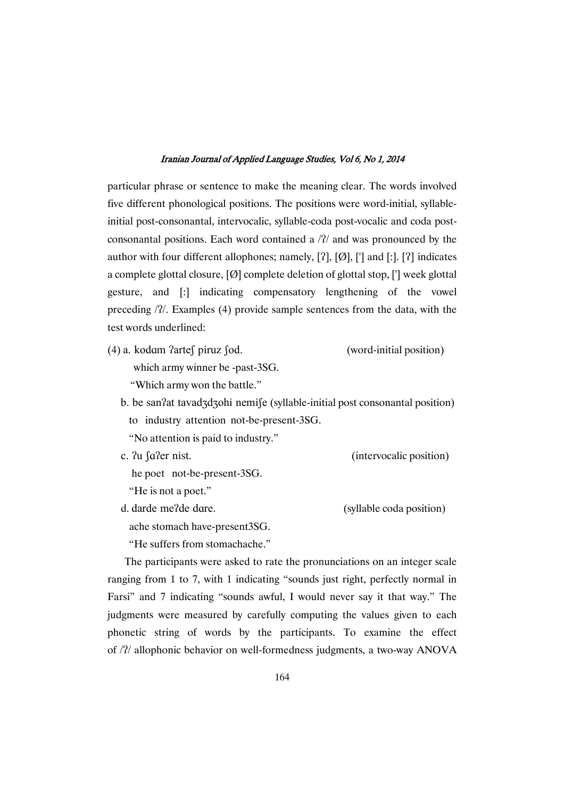particular phrase or sentence to make the meaning clear. The words involved five different phonological positions. The positions were word-initial, syllableinitial post-consonantal, intervocalic, syllable-coda post-vocalic and coda postconsonantal positions. Each word contained a  $/2/$  and was pronounced by the author with four different allophones; namely,  $[?]$ ,  $[Ø]$ ,  $[']$  and  $[.]$ .  $[?)$  indicates a complete glottal closure,  $[Ø]$  complete deletion of glottal stop,  $[']$  week glottal gesture, and [:] indicating compensatory lengthening of the vowel preceding /?/. Examples (4) provide sample sentences from the data, with the test words underlined:

- $(4)$  a. kodam ?arte $\int$  piruz  $\int$ od. (word-initial position) which army winner be -past-3SG. "Which army won the battle."
	- b. be san?at tavad3d3ohi nemi∫e (syllable-initial post consonantal position) to industry attention not-be-present-3SG.
		- "No attention is paid to industry."
- (intervocalic position)
- he poet not-be-present-3SG.
- "He is not a poet."

c. ?u ∫a?

d. darde me?de dare.

(syllable coda position)

ache stomach have-present3SG.

"He suffers from stomachache."

The participants were asked to rate the pronunciations on an integer scale ranging from 1 to 7, with 1 indicating "sounds just right, perfectly normal in Farsi" and 7 indicating "sounds awful, I would never say it that way." The judgments were measured by carefully computing the values given to each phonetic string of words by the participants. To examine the effect of /?/ allophonic behavior on well-formedness judgments, a two-way ANOVA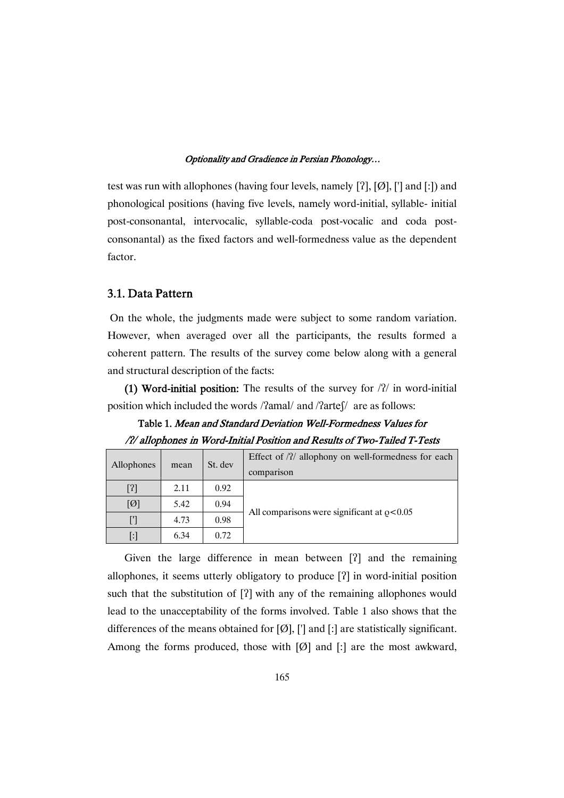test was run with allophones (having four levels, namely  $[?]$ ,  $[Ø]$ ,  $[']$  and  $[:]$  and phonological positions (having five levels, namely word-initial, syllable- initial post-consonantal, intervocalic, syllable-coda post-vocalic and coda postconsonantal) as the fixed factors and well-formedness value as the dependent factor.

### 3.1. Data Pattern

On the whole, the judgments made were subject to some random variation. However, when averaged over all the participants, the results formed a coherent pattern. The results of the survey come below along with a general and structural description of the facts:

(1) Word-initial position: The results of the survey for  $/2/$  in word-initial position which included the words /?amal/ and /?arte∫/ are as follows:

Table 1. Mean and Standard Deviation Well-Formedness Values for /?/ allophones in Word-Initial Position and Results of Two-Tailed T-Tests

| Allophones        | mean | St. dev | Effect of $/2/$ allophony on well-formedness for each<br>comparison |  |  |  |  |
|-------------------|------|---------|---------------------------------------------------------------------|--|--|--|--|
|                   | 2.11 | 0.92    |                                                                     |  |  |  |  |
| [ $\varnothing$ ] | 5.42 | 0.94    |                                                                     |  |  |  |  |
|                   | 4.73 | 0.98    | All comparisons were significant at $\rho < 0.05$                   |  |  |  |  |
| [:]               | 6.34 | 0.72    |                                                                     |  |  |  |  |

Given the large difference in mean between  $[2]$  and the remaining allophones, it seems utterly obligatory to produce [?] in word-initial position such that the substitution of  $[2]$  with any of the remaining allophones would lead to the unacceptability of the forms involved. Table 1 also shows that the differences of the means obtained for  $[Ø]$ ,  $[$ <sup>'</sup>] and  $[$ : are statistically significant. Among the forms produced, those with  $[Ø]$  and  $[$ : are the most awkward,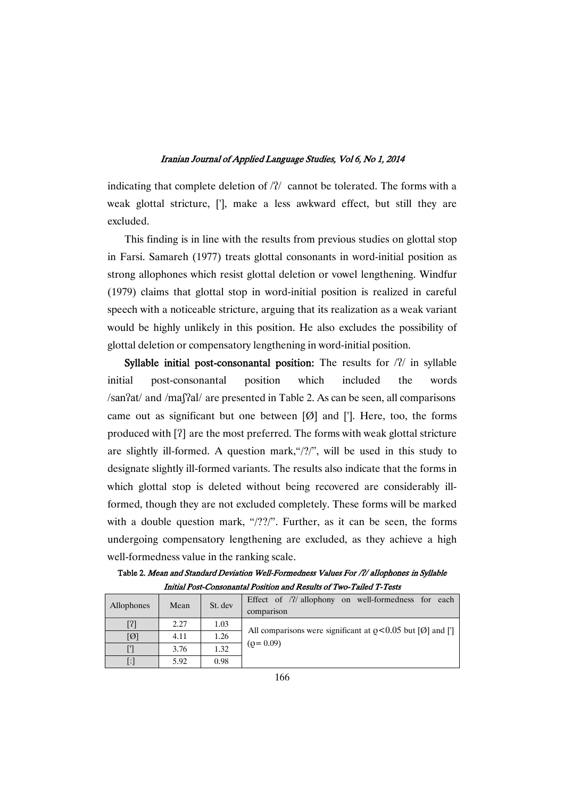indicating that complete deletion of  $/2/$  cannot be tolerated. The forms with a weak glottal stricture, ['], make a less awkward effect, but still they are excluded.

This finding is in line with the results from previous studies on glottal stop in Farsi. Samareh (1977) treats glottal consonants in word-initial position as strong allophones which resist glottal deletion or vowel lengthening. Windfur (1979) claims that glottal stop in word-initial position is realized in careful speech with a noticeable stricture, arguing that its realization as a weak variant would be highly unlikely in this position. He also excludes the possibility of glottal deletion or compensatory lengthening in word-initial position.

Syllable initial post-consonantal position: The results for  $/2/$  in syllable initial post-consonantal position which included the words /san?at/ and /maßal/ are presented in Table 2. As can be seen, all comparisons came out as significant but one between  $[\emptyset]$  and [']. Here, too, the forms produced with [?] are the most preferred. The forms with weak glottal stricture are slightly ill-formed. A question mark,"/?/", will be used in this study to designate slightly ill-formed variants. The results also indicate that the forms in which glottal stop is deleted without being recovered are considerably illformed, though they are not excluded completely. These forms will be marked with a double question mark, "/??/". Further, as it can be seen, the forms undergoing compensatory lengthening are excluded, as they achieve a high well-formedness value in the ranking scale.

Table 2. Mean and Standard Deviation Well-Formedness Values For /?/ allophones in Syllable Initial Post-Consonantal Position and Results of Two-Tailed T-Tests

| Allophones             | Mean | St. dev | Effect of $/2/$ allophony on well-formedness for each<br>comparison             |
|------------------------|------|---------|---------------------------------------------------------------------------------|
|                        | 2.27 | 1.03    | All comparisons were significant at $\rho < 0.05$ but [ $\varnothing$ ] and ['] |
| $[ \text{\O} ]$        | 4.11 | 1.26    |                                                                                 |
|                        | 3.76 | 1.32    | $(Q=0.09)$                                                                      |
| $\left  \cdot \right $ | 5.92 | 0.98    |                                                                                 |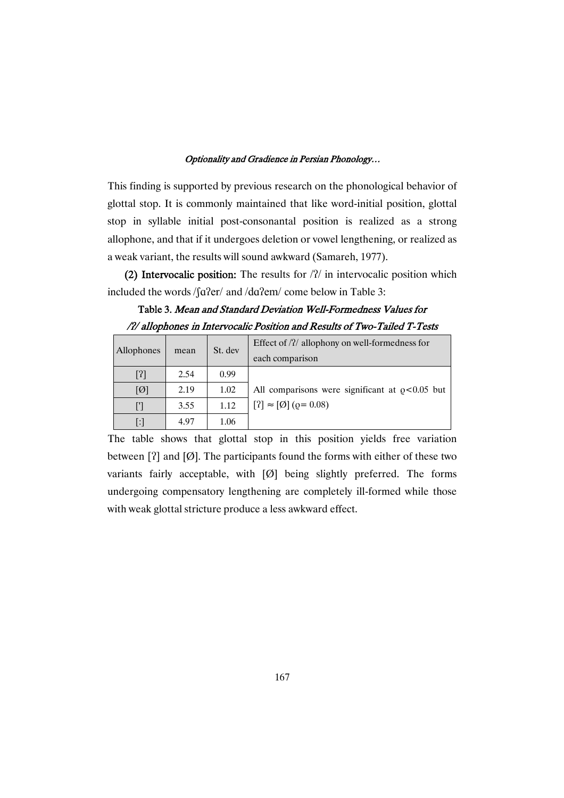This finding is supported by previous research on the phonological behavior of glottal stop. It is commonly maintained that like word-initial position, glottal stop in syllable initial post-consonantal position is realized as a strong allophone, and that if it undergoes deletion or vowel lengthening, or realized as a weak variant, the results will sound awkward (Samareh, 1977).

(2) Intervocalic position: The results for  $/2/$  in intervocalic position which included the words  $\int \frac{\text{d} \Omega}{\text{d}t}$  and  $\frac{\text{d} \Omega}{\text{d}t}$  come below in Table 3:

# Table 3. Mean and Standard Deviation Well-Formedness Values for /?/ allophones in Intervocalic Position and Results of Two-Tailed T-Tests

| Allophones        | mean | St. dev | Effect of $\frac{1}{2}$ allophony on well-formedness for<br>each comparison |  |  |  |  |
|-------------------|------|---------|-----------------------------------------------------------------------------|--|--|--|--|
| [3]               | 2.54 | 0.99    |                                                                             |  |  |  |  |
| [Ø]               | 2.19 | 1.02    | All comparisons were significant at $\rho < 0.05$ but                       |  |  |  |  |
|                   | 3.55 | 1.12    | $[?] \approx [\emptyset] (0 = 0.08)$                                        |  |  |  |  |
| $\lceil : \rceil$ | 4.97 | 1.06    |                                                                             |  |  |  |  |

The table shows that glottal stop in this position yields free variation between [?] and [ $\emptyset$ ]. The participants found the forms with either of these two variants fairly acceptable, with [Ø] being slightly preferred. The forms undergoing compensatory lengthening are completely ill-formed while those with weak glottal stricture produce a less awkward effect.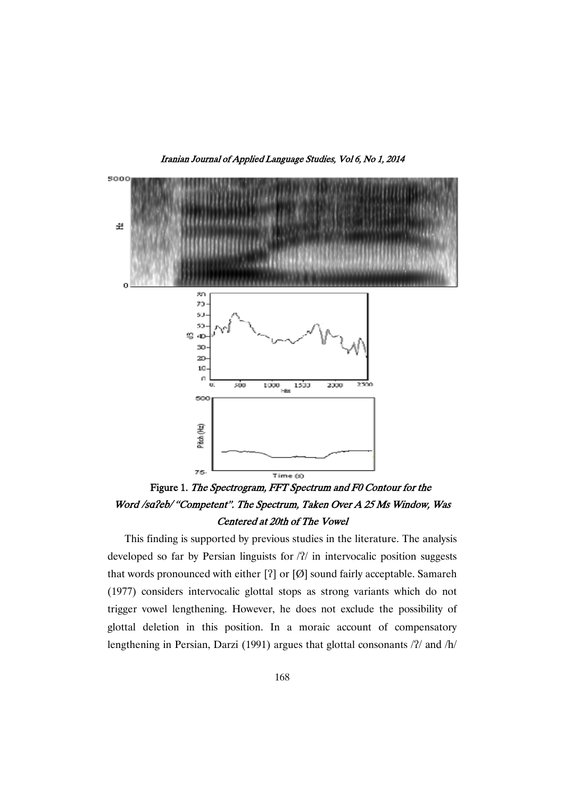Iranian Journal of Applied Language Studies, Vol 6, No 1, 2014



Figure 1. The Spectrogram, FFT Spectrum and F0 Contour for the Word /sa?eb/ "Competent". The Spectrum, Taken Over A 25 Ms Window, Was Centered at 20th of The Vowel

This finding is supported by previous studies in the literature. The analysis developed so far by Persian linguists for  $/2/$  in intervocalic position suggests that words pronounced with either  $[?]$  or  $[Ø]$  sound fairly acceptable. Samareh (1977) considers intervocalic glottal stops as strong variants which do not trigger vowel lengthening. However, he does not exclude the possibility of glottal deletion in this position. In a moraic account of compensatory lengthening in Persian, Darzi (1991) argues that glottal consonants / $\gamma$  and /h/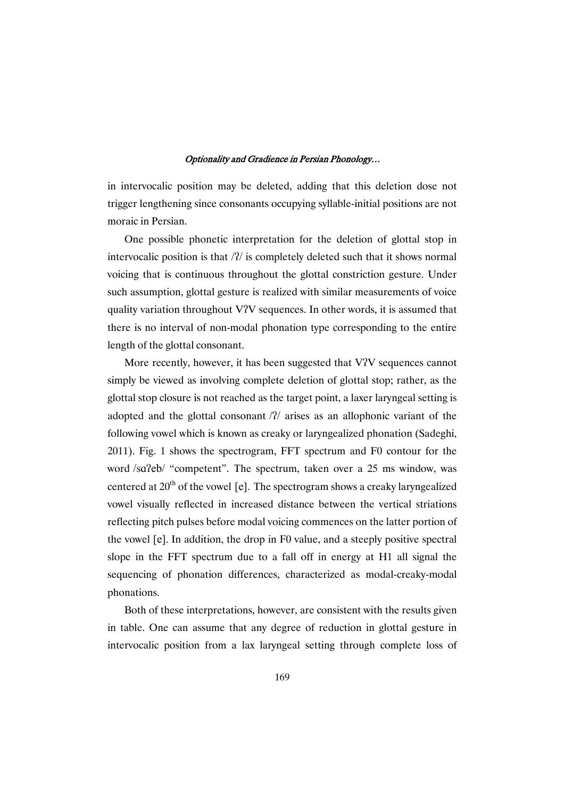in intervocalic position may be deleted, adding that this deletion dose not trigger lengthening since consonants occupying syllable-initial positions are not moraic in Persian.

One possible phonetic interpretation for the deletion of glottal stop in intervocalic position is that  $/2/$  is completely deleted such that it shows normal voicing that is continuous throughout the glottal constriction gesture. Under such assumption, glottal gesture is realized with similar measurements of voice quality variation throughout V?V sequences. In other words, it is assumed that there is no interval of non-modal phonation type corresponding to the entire length of the glottal consonant.

More recently, however, it has been suggested that V?V sequences cannot simply be viewed as involving complete deletion of glottal stop; rather, as the glottal stop closure is not reached as the target point, a laxer laryngeal setting is adopted and the glottal consonant  $/2/$  arises as an allophonic variant of the following vowel which is known as creaky or laryngealized phonation (Sadeghi, 2011). Fig. 1 shows the spectrogram, FFT spectrum and F0 contour for the word /sa?eb/ "competent". The spectrum, taken over a 25 ms window, was centered at  $20<sup>th</sup>$  of the vowel [e]. The spectrogram shows a creaky laryngealized vowel visually reflected in increased distance between the vertical striations reflecting pitch pulses before modal voicing commences on the latter portion of the vowel [e]. In addition, the drop in F0 value, and a steeply positive spectral slope in the FFT spectrum due to a fall off in energy at H1 all signal the sequencing of phonation differences, characterized as modal-creaky-modal phonations.

Both of these interpretations, however, are consistent with the results given in table. One can assume that any degree of reduction in glottal gesture in intervocalic position from a lax laryngeal setting through complete loss of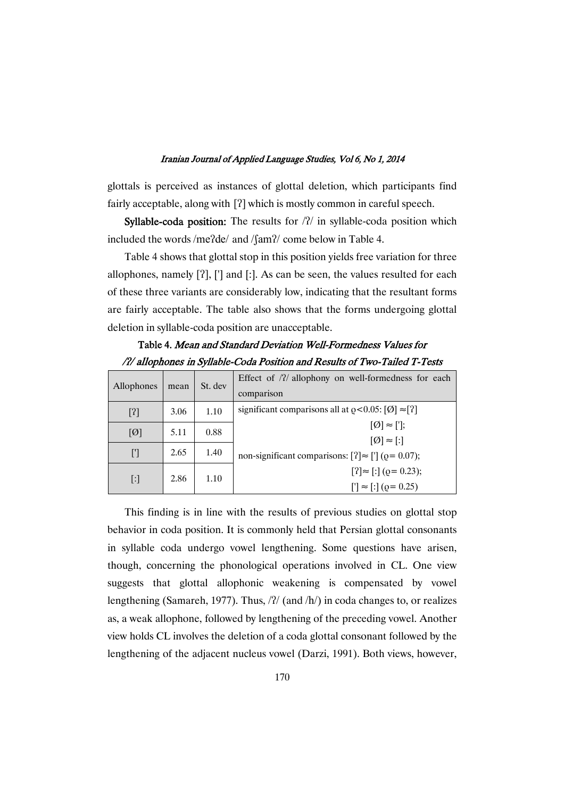glottals is perceived as instances of glottal deletion, which participants find fairly acceptable, along with  $[?]$  which is mostly common in careful speech.

Syllable-coda position: The results for /?/ in syllable-coda position which included the words /me?de/ and /fam?/ come below in Table 4.

Table 4 shows that glottal stop in this position yields free variation for three allophones, namely  $[?]$ ,  $[]'$  and  $[.]$ . As can be seen, the values resulted for each of these three variants are considerably low, indicating that the resultant forms are fairly acceptable. The table also shows that the forms undergoing glottal deletion in syllable-coda position are unacceptable.

| Allophones                          | mean | St. dev | Effect of $/2/$ allophony on well-formedness for each<br>comparison              |  |  |  |
|-------------------------------------|------|---------|----------------------------------------------------------------------------------|--|--|--|
| $[2]$                               | 3.06 | 1.10    | significant comparisons all at $\rho < 0.05$ : [Ø] $\approx$ [?]                 |  |  |  |
| [Ø]                                 | 5.11 | 0.88    | $[Ø] \approx [$ ];                                                               |  |  |  |
| $\left[\!\left[{}'\right]\!\right]$ | 2.65 | 1.40    | $[Ø] \approx [$ :]<br>non-significant comparisons: $[?] \approx ['] (Q = 0.07);$ |  |  |  |
| $[\cdot]$                           | 2.86 | 1.10    | $[?] \approx [?] (Q = 0.23);$<br>$[$ ' $] \approx$ [:] ( $\varrho$ = 0.25)       |  |  |  |

Table 4. Mean and Standard Deviation Well-Formedness Values for /?/ allophones in Syllable-Coda Position and Results of Two-Tailed T-Tests

This finding is in line with the results of previous studies on glottal stop behavior in coda position. It is commonly held that Persian glottal consonants in syllable coda undergo vowel lengthening. Some questions have arisen, though, concerning the phonological operations involved in CL. One view suggests that glottal allophonic weakening is compensated by vowel lengthening (Samareh, 1977). Thus, /ʔ/ (and /h/) in coda changes to, or realizes as, a weak allophone, followed by lengthening of the preceding vowel. Another view holds CL involves the deletion of a coda glottal consonant followed by the lengthening of the adjacent nucleus vowel (Darzi, 1991). Both views, however,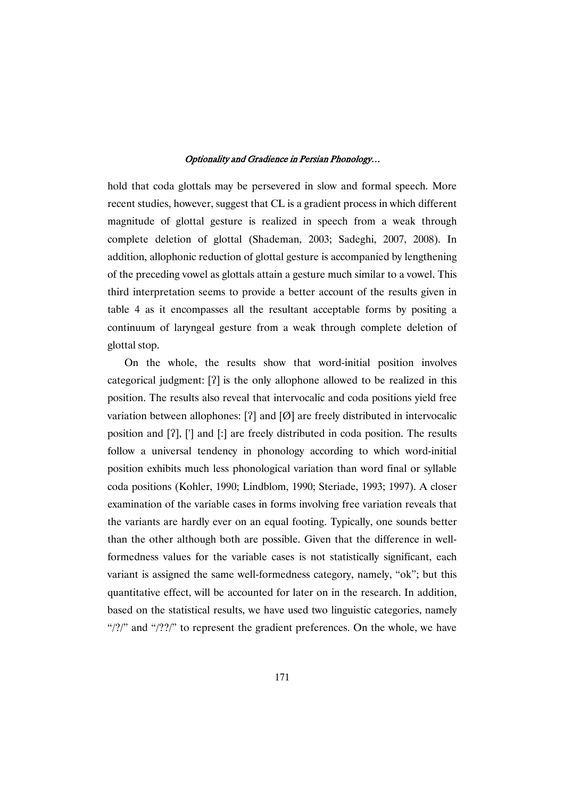hold that coda glottals may be persevered in slow and formal speech. More recent studies, however, suggest that CL is a gradient process in which different magnitude of glottal gesture is realized in speech from a weak through complete deletion of glottal (Shademan, 2003; Sadeghi, 2007, 2008). In addition, allophonic reduction of glottal gesture is accompanied by lengthening of the preceding vowel as glottals attain a gesture much similar to a vowel. This third interpretation seems to provide a better account of the results given in table 4 as it encompasses all the resultant acceptable forms by positing a continuum of laryngeal gesture from a weak through complete deletion of glottal stop.

On the whole, the results show that word-initial position involves categorical judgment: [?] is the only allophone allowed to be realized in this position. The results also reveal that intervocalic and coda positions yield free variation between allophones: [?] and [Ø] are freely distributed in intervocalic position and [?], ['] and [:] are freely distributed in coda position. The results follow a universal tendency in phonology according to which word-initial position exhibits much less phonological variation than word final or syllable coda positions (Kohler, 1990; Lindblom, 1990; Steriade, 1993; 1997). A closer examination of the variable cases in forms involving free variation reveals that the variants are hardly ever on an equal footing. Typically, one sounds better than the other although both are possible. Given that the difference in wellformedness values for the variable cases is not statistically significant, each variant is assigned the same well-formedness category, namely, "ok"; but this quantitative effect, will be accounted for later on in the research. In addition, based on the statistical results, we have used two linguistic categories, namely " $\frac{1}{2}$ " and " $\frac{1}{2}$ " to represent the gradient preferences. On the whole, we have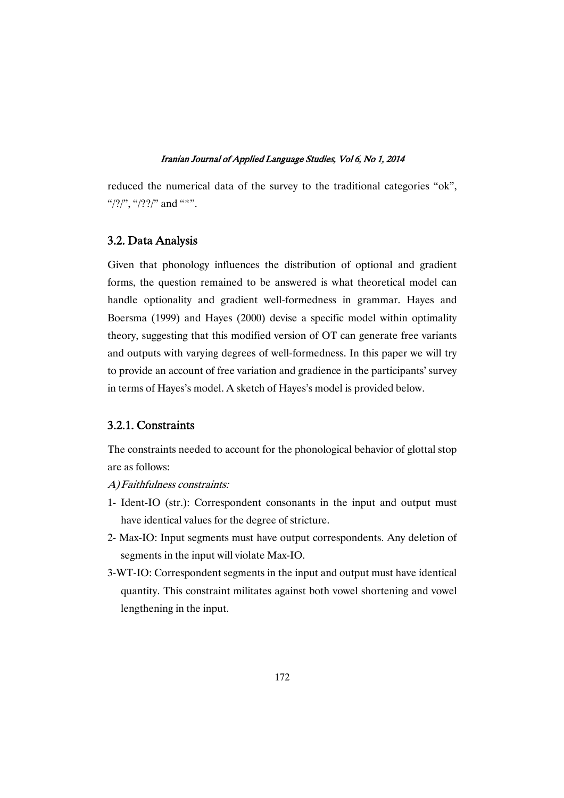reduced the numerical data of the survey to the traditional categories "ok", "/?/", "/??/" and "\*".

### 3.2. Data Analysis

Given that phonology influences the distribution of optional and gradient forms, the question remained to be answered is what theoretical model can handle optionality and gradient well-formedness in grammar. Hayes and Boersma (1999) and Hayes (2000) devise a specific model within optimality theory, suggesting that this modified version of OT can generate free variants and outputs with varying degrees of well-formedness. In this paper we will try to provide an account of free variation and gradience in the participants' survey in terms of Hayes's model. A sketch of Hayes's model is provided below.

### 3.2.1. Constraints

The constraints needed to account for the phonological behavior of glottal stop are as follows:

- A)Faithfulness constraints:
- 1- Ident-IO (str.): Correspondent consonants in the input and output must have identical values for the degree of stricture.
- 2- Max-IO: Input segments must have output correspondents. Any deletion of segments in the input will violate Max-IO.
- 3-WT-IO: Correspondent segments in the input and output must have identical quantity. This constraint militates against both vowel shortening and vowel lengthening in the input.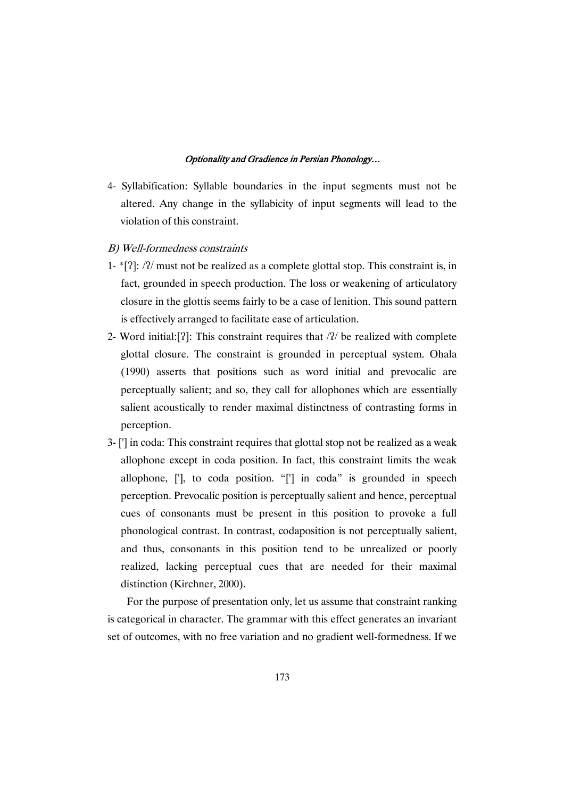- 4- Syllabification: Syllable boundaries in the input segments must not be altered. Any change in the syllabicity of input segments will lead to the violation of this constraint.
- B) Well-formedness constraints
- 1- $[2]$ : /?/ must not be realized as a complete glottal stop. This constraint is, in fact, grounded in speech production. The loss or weakening of articulatory closure in the glottis seems fairly to be a case of lenition. This sound pattern is effectively arranged to facilitate ease of articulation.
- 2- Word initial: []: This constraint requires that  $/2/$  be realized with complete glottal closure. The constraint is grounded in perceptual system. Ohala (1990) asserts that positions such as word initial and prevocalic are perceptually salient; and so, they call for allophones which are essentially salient acoustically to render maximal distinctness of contrasting forms in perception.
- 3- ['] in coda: This constraint requires that glottal stop not be realized as a weak allophone except in coda position. In fact, this constraint limits the weak allophone, ['], to coda position. "['] in coda" is grounded in speech perception. Prevocalic position is perceptually salient and hence, perceptual cues of consonants must be present in this position to provoke a full phonological contrast. In contrast, codaposition is not perceptually salient, and thus, consonants in this position tend to be unrealized or poorly realized, lacking perceptual cues that are needed for their maximal distinction (Kirchner, 2000).

For the purpose of presentation only, let us assume that constraint ranking is categorical in character. The grammar with this effect generates an invariant set of outcomes, with no free variation and no gradient well-formedness. If we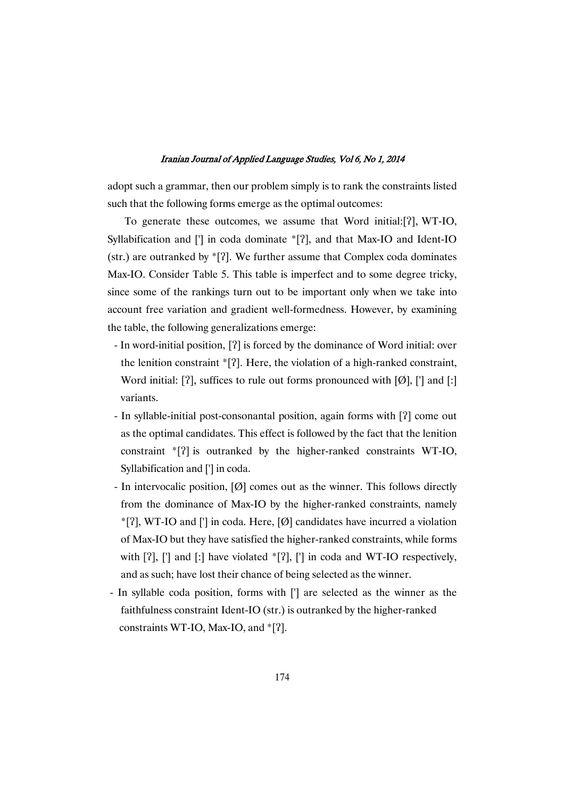adopt such a grammar, then our problem simply is to rank the constraints listed such that the following forms emerge as the optimal outcomes:

To generate these outcomes, we assume that Word initial:[?], WT-IO, Syllabification and  $[]$  in coda dominate  $[2]$ , and that Max-IO and Ident-IO (str.) are outranked by  $E$ [?]. We further assume that Complex coda dominates Max-IO. Consider Table 5. This table is imperfect and to some degree tricky, since some of the rankings turn out to be important only when we take into account free variation and gradient well-formedness. However, by examining the table, the following generalizations emerge:

- In word-initial position, [?] is forced by the dominance of Word initial: over the lenition constraint  $[2]$ . Here, the violation of a high-ranked constraint, Word initial: [?], suffices to rule out forms pronounced with [Ø], ['] and [:] variants.
- In syllable-initial post-consonantal position, again forms with [?] come out as the optimal candidates. This effect is followed by the fact that the lenition constraint  $[2]$  is outranked by the higher-ranked constraints WT-IO, Syllabification and ['] in coda.
- In intervocalic position, [Ø] comes out as the winner. This follows directly from the dominance of Max-IO by the higher-ranked constraints, namely  $*$ [?], WT-IO and ['] in coda. Here, [Ø] candidates have incurred a violation of Max-IO but they have satisfied the higher-ranked constraints, while forms with  $[?]$ ,  $[]'$  and  $[.]$  have violated  $*[?]$ ,  $[]'$  in coda and WT-IO respectively, and as such; have lost their chance of being selected as the winner.
- In syllable coda position, forms with ['] are selected as the winner as the faithfulness constraint Ident-IO (str.) is outranked by the higher-ranked constraints WT-IO, Max-IO, and  $\lceil$ ?].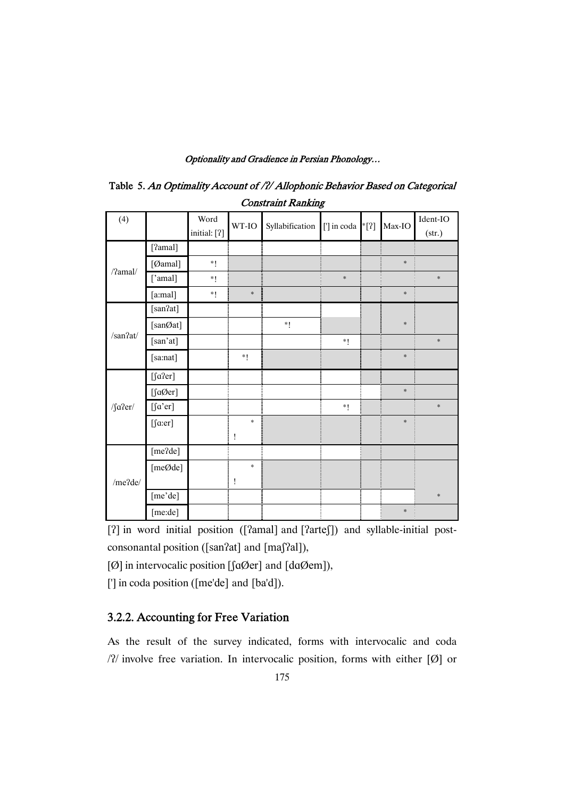| CONSUANN RANKING             |                   |                      |              |                 |             |         |        |                    |
|------------------------------|-------------------|----------------------|--------------|-----------------|-------------|---------|--------|--------------------|
| (4)                          |                   | Word<br>initial: [?] | WT-IO        | Syllabification | ['] in coda | $*$ [?] | Max-IO | Ident-IO<br>(str.) |
| $/$ ?amal $/$                | [?amal]           |                      |              |                 |             |         |        |                    |
|                              | [Øamal]           | $*!$                 |              |                 |             |         | $\ast$ |                    |
|                              | ['amal]           | $*1$                 |              |                 | $\ast$      |         |        | $\ast$             |
|                              | [a:mal]           | $*1$                 | $\ast$       |                 |             |         | $\ast$ |                    |
| /san2at/                     | [san?at]          |                      |              |                 |             |         |        |                    |
|                              | [sanØat]          |                      |              | $*1$            |             |         | $\ast$ |                    |
|                              | [san'at]          |                      |              |                 | $*1$        |         |        | $\ast$             |
|                              | [sa:nat]          |                      | $*!$         |                 |             |         | $\ast$ |                    |
|                              | $[$ fa?er]        |                      |              |                 |             |         |        |                    |
|                              | $[\text{fa0}$ er] |                      |              |                 |             |         | $\ast$ |                    |
| / $\int a \cdot \frac{1}{2}$ | $[$ fa'er]        |                      |              |                 | $\ast_!$    |         |        | $\ast$             |
|                              | $[$ fa:er]        |                      | $\ast$       |                 |             |         | $\ast$ |                    |
|                              |                   |                      | $\mathbf{I}$ |                 |             |         |        |                    |
| /me?de/                      | [me?de]           |                      |              |                 |             |         |        |                    |
|                              | [meØde]           |                      | $\ast$       |                 |             |         |        |                    |
|                              |                   |                      | Ţ            |                 |             |         |        |                    |
|                              | [me'de]           |                      |              |                 |             |         |        | $\ast$             |
|                              | [me:de]           |                      |              |                 |             |         | $\ast$ |                    |

Table 5. An Optimality Account of /?/ Allophonic Behavior Based on Categorical Constraint Danking

[?] in word initial position ([?amal] and [?arte]]) and syllable-initial postconsonantal position ([san?at] and [maf?al]),

[ $\varnothing$ ] in intervocalic position [ $\varnothing$ er] and  $\varnothing$ em]),

['] in coda position ([me'de] and [ba'd]).

# 3.2.2. Accounting for Free Variation

As the result of the survey indicated, forms with intervocalic and coda  $\gamma$  involve free variation. In intervocalic position, forms with either [Ø] or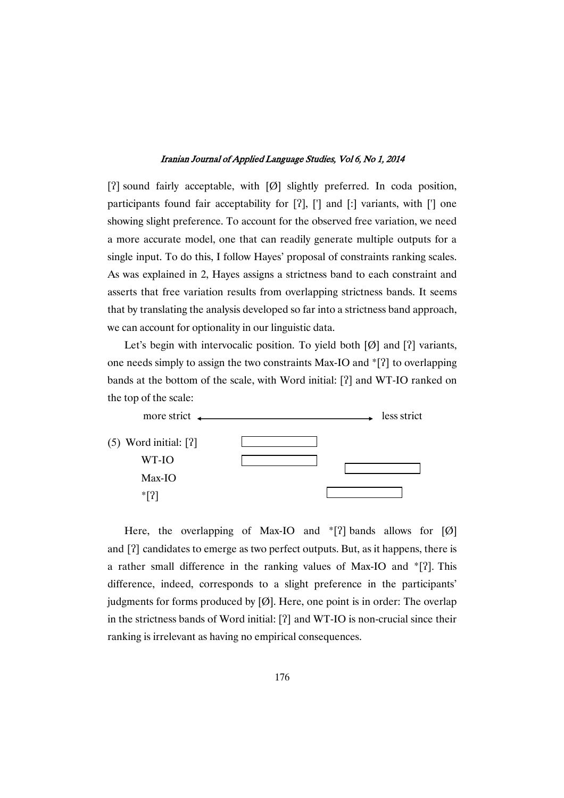[?] sound fairly acceptable, with  $[Ø]$  slightly preferred. In coda position, participants found fair acceptability for  $[?]$ ,  $[']$  and  $[.]$  variants, with  $[']$  one showing slight preference. To account for the observed free variation, we need a more accurate model, one that can readily generate multiple outputs for a single input. To do this, I follow Hayes' proposal of constraints ranking scales. As was explained in 2, Hayes assigns a strictness band to each constraint and asserts that free variation results from overlapping strictness bands. It seems that by translating the analysis developed so far into a strictness band approach, we can account for optionality in our linguistic data.

Let's begin with intervocalic position. To yield both  $[Ø]$  and  $[?]$  variants, one needs simply to assign the two constraints Max-IO and  $\{2\}$  to overlapping bands at the bottom of the scale, with Word initial: [?] and WT-IO ranked on the top of the scale:



Here, the overlapping of Max-IO and  $\{2\}$  bands allows for [Ø] and [?] candidates to emerge as two perfect outputs. But, as it happens, there is a rather small difference in the ranking values of Max-IO and \*[?]. This difference, indeed, corresponds to a slight preference in the participants' judgments for forms produced by  $[Ø]$ . Here, one point is in order: The overlap in the strictness bands of Word initial: [?] and WT-IO is non-crucial since their ranking is irrelevant as having no empirical consequences.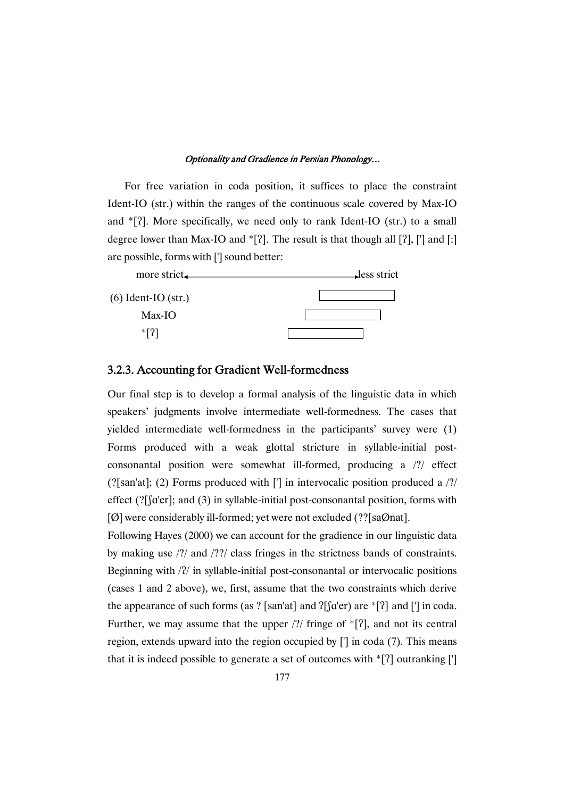For free variation in coda position, it suffices to place the constraint Ident-IO (str.) within the ranges of the continuous scale covered by Max-IO and \*[?]. More specifically, we need only to rank Ident-IO (str.) to a small degree lower than Max-IO and  $\{2\}$ . The result is that though all  $[2]$ ,  $[$ ] and  $[$ :] are possible, forms with ['] sound better:



### 3.2.3. Accounting for Gradient Well-formedness

Our final step is to develop a formal analysis of the linguistic data in which speakers' judgments involve intermediate well-formedness. The cases that yielded intermediate well-formedness in the participants' survey were (1) Forms produced with a weak glottal stricture in syllable-initial postconsonantal position were somewhat ill-formed, producing a /?/ effect (?[san'at]; (2) Forms produced with ['] in intervocalic position produced a /?/ effect  $(?$ [ $[a'er]$ ; and  $(3)$  in syllable-initial post-consonantal position, forms with [Ø] were considerably ill-formed; yet were not excluded (??[saØnat].

Following Hayes (2000) we can account for the gradience in our linguistic data by making use /?/ and /??/ class fringes in the strictness bands of constraints. Beginning with / $\frac{2}{l}$  in syllable-initial post-consonantal or intervocalic positions (cases 1 and 2 above), we, first, assume that the two constraints which derive the appearance of such forms (as ? [san'at] and  $?$ [[d'er) are  $*$ [ $?$ ] and ['] in coda. Further, we may assume that the upper  $/$ ?/ fringe of  $*$ [ $2$ ], and not its central region, extends upward into the region occupied by ['] in coda (7). This means that it is indeed possible to generate a set of outcomes with  $[\n\cdot\]]$  outranking [ $\]$ ]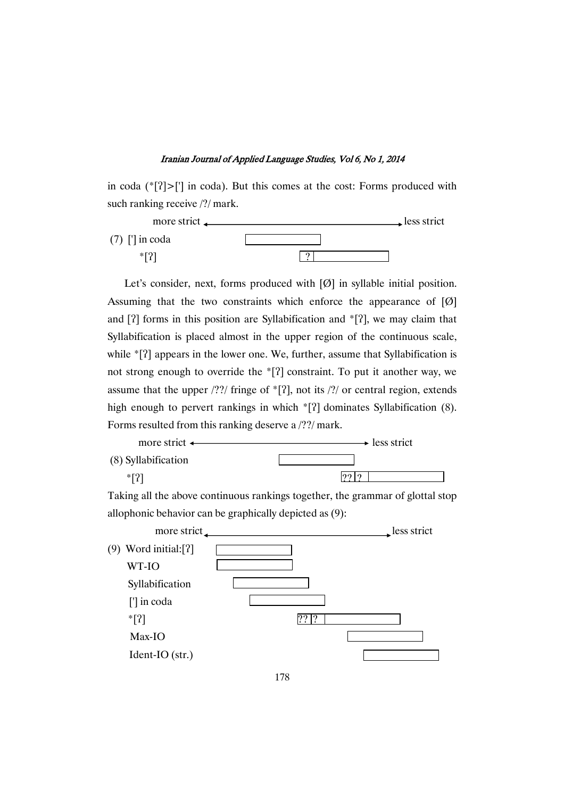in coda  $(*[?] > [']$  in coda). But this comes at the cost: Forms produced with such ranking receive  $\frac{2}{\pi}$  mark.



Let's consider, next, forms produced with [Ø] in syllable initial position. Assuming that the two constraints which enforce the appearance of  $[Ø]$ and  $[?]$  forms in this position are Syllabification and  $[?]$ , we may claim that Syllabification is placed almost in the upper region of the continuous scale, while \*[?] appears in the lower one. We, further, assume that Syllabification is not strong enough to override the  $[\n3]$  constraint. To put it another way, we assume that the upper  $\frac{??'}$  fringe of  $*$ [?], not its  $\frac{?'}$  or central region, extends high enough to pervert rankings in which  ${}^{*}[?]$  dominates Syllabification (8). Forms resulted from this ranking deserve a /??/ mark.



Taking all the above continuous rankings together, the grammar of glottal stop allophonic behavior can be graphically depicted as (9):

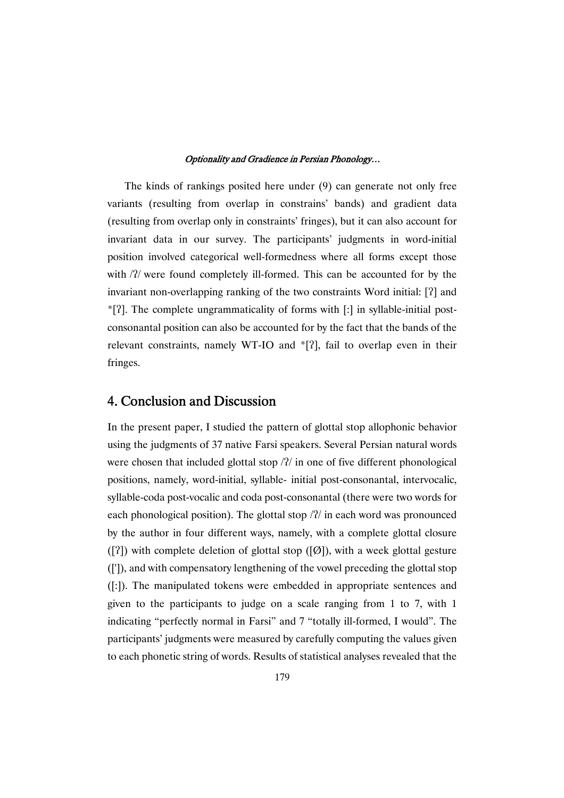The kinds of rankings posited here under (9) can generate not only free variants (resulting from overlap in constrains' bands) and gradient data (resulting from overlap only in constraints' fringes), but it can also account for invariant data in our survey. The participants' judgments in word-initial position involved categorical well-formedness where all forms except those with  $/2/$  were found completely ill-formed. This can be accounted for by the invariant non-overlapping ranking of the two constraints Word initial: [?] and \*[?]. The complete ungrammaticality of forms with [:] in syllable-initial postconsonantal position can also be accounted for by the fact that the bands of the relevant constraints, namely WT-IO and  $\{2\}$ , fail to overlap even in their fringes.

# 4. Conclusion and Discussion

In the present paper, I studied the pattern of glottal stop allophonic behavior using the judgments of 37 native Farsi speakers. Several Persian natural words were chosen that included glottal stop  $/2/$  in one of five different phonological positions, namely, word-initial, syllable- initial post-consonantal, intervocalic, syllable-coda post-vocalic and coda post-consonantal (there were two words for each phonological position). The glottal stop  $/2/$  in each word was pronounced by the author in four different ways, namely, with a complete glottal closure  $([?])$  with complete deletion of glottal stop  $([0])$ , with a week glottal gesture ([']), and with compensatory lengthening of the vowel preceding the glottal stop ([:]). The manipulated tokens were embedded in appropriate sentences and given to the participants to judge on a scale ranging from 1 to 7, with 1 indicating "perfectly normal in Farsi" and 7 "totally ill-formed, I would". The participants' judgments were measured by carefully computing the values given to each phonetic string of words. Results of statistical analyses revealed that the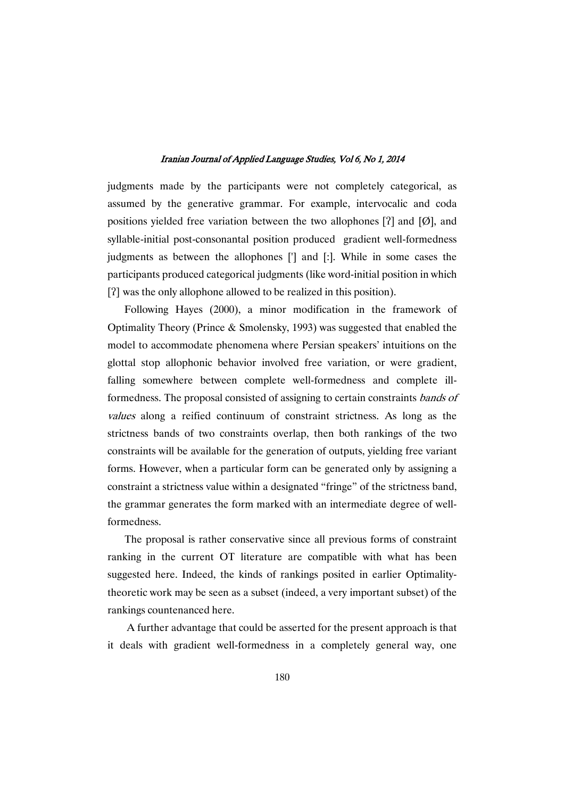judgments made by the participants were not completely categorical, as assumed by the generative grammar. For example, intervocalic and coda positions yielded free variation between the two allophones  $[2]$  and  $[Ø]$ , and syllable-initial post-consonantal position produced gradient well-formedness judgments as between the allophones ['] and [:]. While in some cases the participants produced categorical judgments (like word-initial position in which [?] was the only allophone allowed to be realized in this position).

Following Hayes (2000), a minor modification in the framework of Optimality Theory (Prince & Smolensky, 1993) was suggested that enabled the model to accommodate phenomena where Persian speakers' intuitions on the glottal stop allophonic behavior involved free variation, or were gradient, falling somewhere between complete well-formedness and complete illformedness. The proposal consisted of assigning to certain constraints bands of values along a reified continuum of constraint strictness. As long as the strictness bands of two constraints overlap, then both rankings of the two constraints will be available for the generation of outputs, yielding free variant forms. However, when a particular form can be generated only by assigning a constraint a strictness value within a designated "fringe" of the strictness band, the grammar generates the form marked with an intermediate degree of wellformedness.

The proposal is rather conservative since all previous forms of constraint ranking in the current OT literature are compatible with what has been suggested here. Indeed, the kinds of rankings posited in earlier Optimalitytheoretic work may be seen as a subset (indeed, a very important subset) of the rankings countenanced here.

A further advantage that could be asserted for the present approach is that it deals with gradient well-formedness in a completely general way, one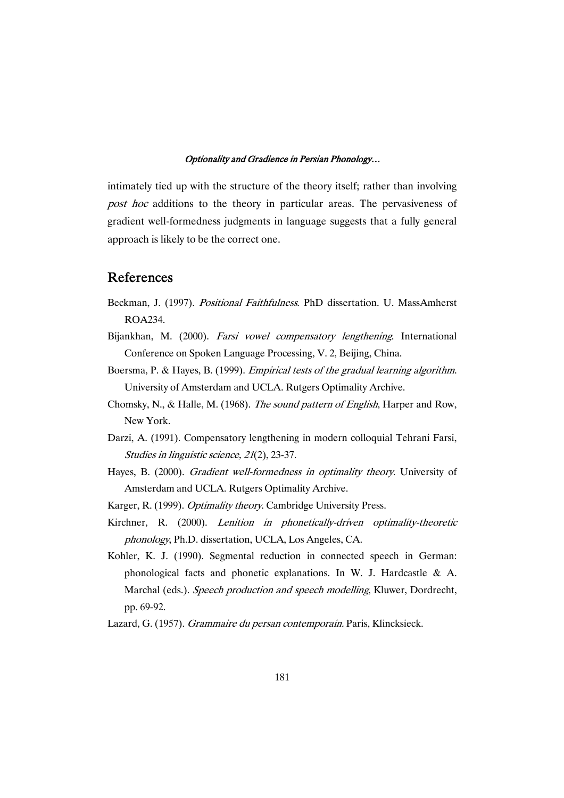intimately tied up with the structure of the theory itself; rather than involving post hoc additions to the theory in particular areas. The pervasiveness of gradient well-formedness judgments in language suggests that a fully general approach is likely to be the correct one.

## **References**

- Beckman, J. (1997). Positional Faithfulness. PhD dissertation. U. MassAmherst ROA234.
- Bijankhan, M. (2000). Farsi vowel compensatory lengthening. International Conference on Spoken Language Processing, V. 2, Beijing, China.
- Boersma, P. & Hayes, B. (1999). Empirical tests of the gradual learning algorithm. University of Amsterdam and UCLA. Rutgers Optimality Archive.
- Chomsky, N., & Halle, M. (1968). The sound pattern of English, Harper and Row, New York.
- Darzi, A. (1991). Compensatory lengthening in modern colloquial Tehrani Farsi, Studies in linguistic science, <sup>21</sup>(2), 23-37.
- Hayes, B. (2000). Gradient well-formedness in optimality theory. University of Amsterdam and UCLA. Rutgers Optimality Archive.
- Karger, R. (1999). Optimality theory. Cambridge University Press.
- Kirchner, R. (2000). Lenition in phonetically-driven optimality-theoretic phonology, Ph.D. dissertation, UCLA, Los Angeles, CA.
- Kohler, K. J. (1990). Segmental reduction in connected speech in German: phonological facts and phonetic explanations. In W. J. Hardcastle & A. Marchal (eds.). Speech production and speech modelling, Kluwer, Dordrecht, pp. 69-92.
- Lazard, G. (1957). Grammaire du persan contemporain. Paris, Klincksieck.